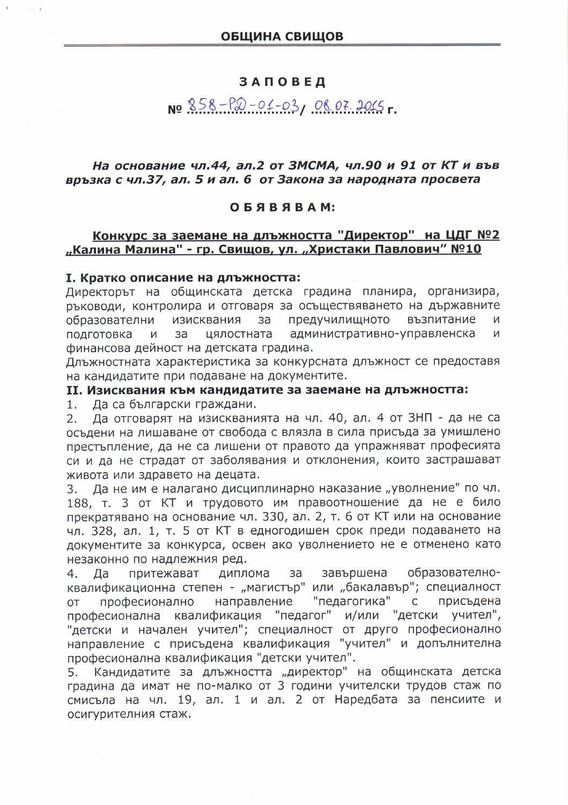## **ЗАПОВЕД**

# No 858-P20-01-03, 08.07.2015

### На основание чл.44, ал.2 от ЗМСМА, чл.90 и 91 от КТ и във връзка с чл.37, ал. 5 и ал. 6 от Закона за народната просвета

### ОБЯВЯВАМ:

# Конкурс за заемане на длъжността "Директор" на ЦДГ №2 "Калина Малина" - гр. Свищов, ул. "Христаки Павлович" №10

#### I. Кратко описание на длъжността:

Директорът на общинската детска градина планира, организира, ръководи, контролира и отговаря за осъществяването на държавните образователни изисквания  $3a$ предучилищното възпитание И административно-управленска подготовка И за цялостната И финансова дейност на детската градина.

Длъжностната характеристика за конкурсната длъжност се предоставя на кандидатите при подаване на документите.

### II. Изисквания към кандидатите за заемане на длъжността:

Да са български граждани.  $1.$ 

Да отговарят на изискванията на чл. 40, ал. 4 от ЗНП - да не са  $2.$ осъдени на лишаване от свобода с влязла в сила присъда за умишлено престъпление, да не са лишени от правото да упражняват професията си и да не страдат от заболявания и отклонения, които застрашават живота или здравето на децата.

Да не им е налагано дисциплинарно наказание "уволнение" по чл.  $3.$ 188, т. 3 от КТ и трудовото им правоотношение да не е било прекратявано на основание чл. 330, ал. 2, т. 6 от КТ или на основание чл. 328, ал. 1, т. 5 от КТ в едногодишен срок преди подаването на документите за конкурса, освен ако уволнението не е отменено като незаконно по надлежния ред.

притежават диплома завършена образователно-4. Да за квалификационна степен - "магистър" или "бакалавър"; специалност направление "педагогика" присъдена OT професионално  $\overline{C}$ професионална квалификация "педагог" и/или "детски учител", "детски и начален учител"; специалност от друго професионално направление с присъдена квалификация "учител" и допълнителна професионална квалификация "детски учител".

Кандидатите за длъжността "директор" на общинската детска 5. градина да имат не по-малко от 3 години учителски трудов стаж по смисъла на чл. 19, ал. 1 и ал. 2 от Наредбата за пенсиите и осигурителния стаж.